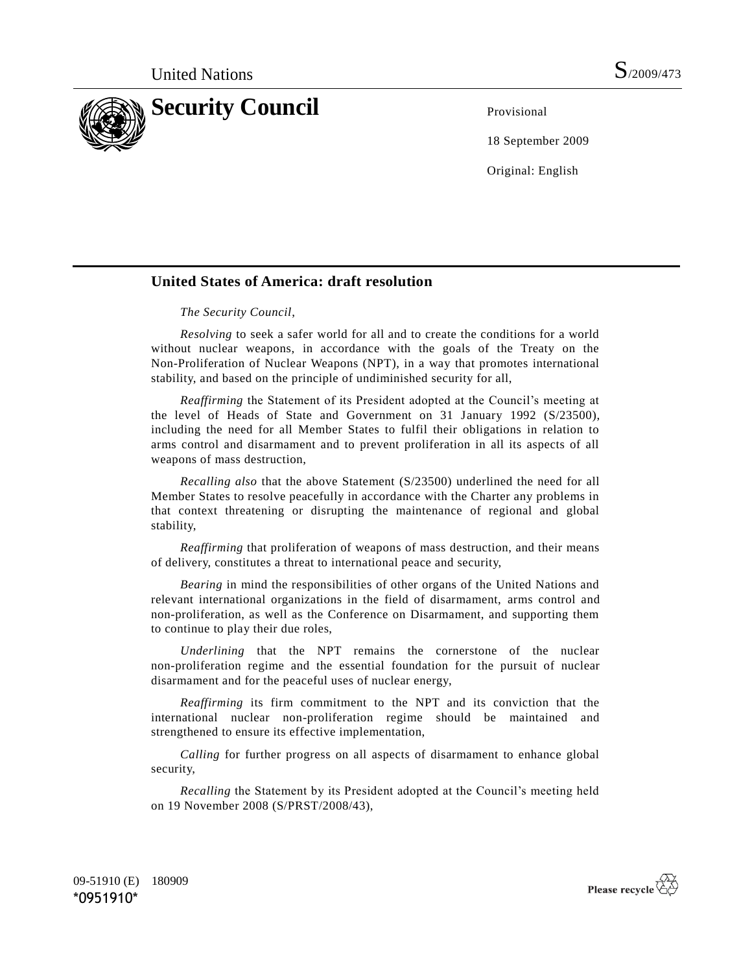

18 September 2009

Original: English

## **United States of America: draft resolution**

*The Security Council*,

*Resolving* to seek a safer world for all and to create the conditions for a world without nuclear weapons, in accordance with the goals of the Treaty on the Non-Proliferation of Nuclear Weapons (NPT), in a way that promotes international stability, and based on the principle of undiminished security for all,

*Reaffirming* the Statement of its President adopted at the Council's meeting at the level of Heads of State and Government on 31 January 1992 (S/23500), including the need for all Member States to fulfil their obligations in relation to arms control and disarmament and to prevent proliferation in all its aspects of all weapons of mass destruction,

*Recalling also* that the above Statement (S/23500) underlined the need for all Member States to resolve peacefully in accordance with the Charter any problems in that context threatening or disrupting the maintenance of regional and global stability,

*Reaffirming* that proliferation of weapons of mass destruction, and their means of delivery, constitutes a threat to international peace and security,

*Bearing* in mind the responsibilities of other organs of the United Nations and relevant international organizations in the field of disarmament, arms control and non-proliferation, as well as the Conference on Disarmament, and supporting them to continue to play their due roles,

*Underlining* that the NPT remains the cornerstone of the nuclear non-proliferation regime and the essential foundation for the pursuit of nuclear disarmament and for the peaceful uses of nuclear energy,

*Reaffirming* its firm commitment to the NPT and its conviction that the international nuclear non-proliferation regime should be maintained and strengthened to ensure its effective implementation,

*Calling* for further progress on all aspects of disarmament to enhance global security,

*Recalling* the Statement by its President adopted at the Council's meeting held on 19 November 2008 (S/PRST/2008/43),

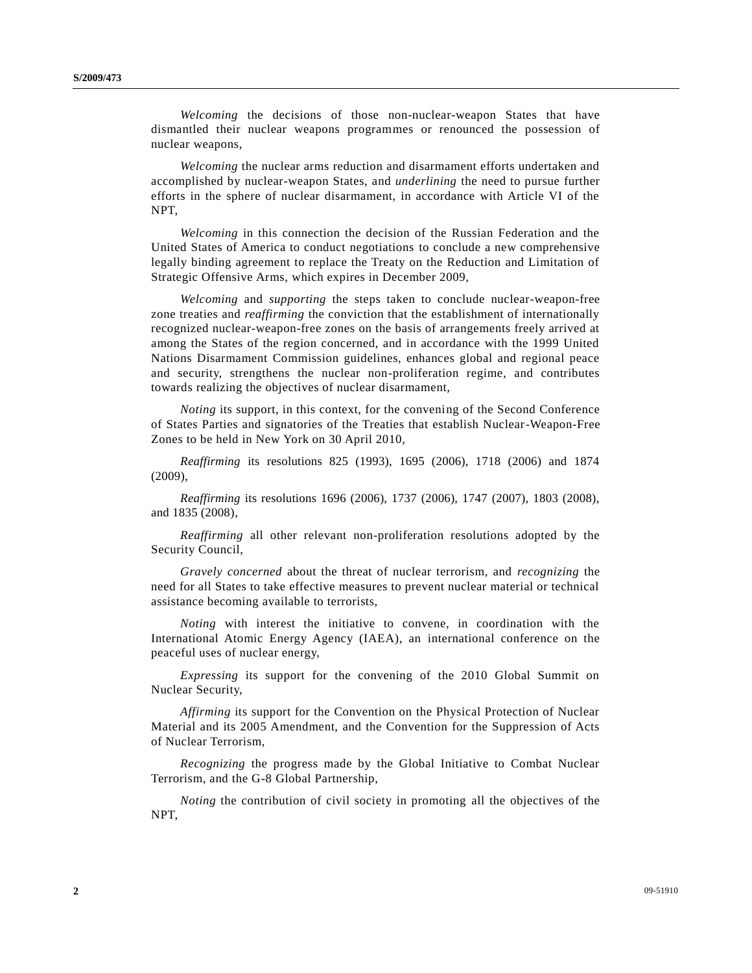*Welcoming* the decisions of those non-nuclear-weapon States that have dismantled their nuclear weapons programmes or renounced the possession of nuclear weapons,

*Welcoming* the nuclear arms reduction and disarmament efforts undertaken and accomplished by nuclear-weapon States, and *underlining* the need to pursue further efforts in the sphere of nuclear disarmament, in accordance with Article VI of the NPT,

*Welcoming* in this connection the decision of the Russian Federation and the United States of America to conduct negotiations to conclude a new comprehensive legally binding agreement to replace the Treaty on the Reduction and Limitation of Strategic Offensive Arms, which expires in December 2009,

*Welcoming* and *supporting* the steps taken to conclude nuclear-weapon-free zone treaties and *reaffirming* the conviction that the establishment of internationally recognized nuclear-weapon-free zones on the basis of arrangements freely arrived at among the States of the region concerned, and in accordance with the 1999 United Nations Disarmament Commission guidelines, enhances global and regional peace and security, strengthens the nuclear non-proliferation regime, and contributes towards realizing the objectives of nuclear disarmament,

*Noting* its support, in this context, for the convening of the Second Conference of States Parties and signatories of the Treaties that establish Nuclear-Weapon-Free Zones to be held in New York on 30 April 2010,

*Reaffirming* its resolutions 825 (1993), 1695 (2006), 1718 (2006) and 1874 (2009),

*Reaffirming* its resolutions 1696 (2006), 1737 (2006), 1747 (2007), 1803 (2008), and 1835 (2008),

*Reaffirming* all other relevant non-proliferation resolutions adopted by the Security Council,

*Gravely concerned* about the threat of nuclear terrorism, and *recognizing* the need for all States to take effective measures to prevent nuclear material or technical assistance becoming available to terrorists,

*Noting* with interest the initiative to convene, in coordination with the International Atomic Energy Agency (IAEA), an international conference on the peaceful uses of nuclear energy,

*Expressing* its support for the convening of the 2010 Global Summit on Nuclear Security,

*Affirming* its support for the Convention on the Physical Protection of Nuclear Material and its 2005 Amendment, and the Convention for the Suppression of Acts of Nuclear Terrorism,

*Recognizing* the progress made by the Global Initiative to Combat Nuclear Terrorism, and the G-8 Global Partnership,

*Noting* the contribution of civil society in promoting all the objectives of the NPT,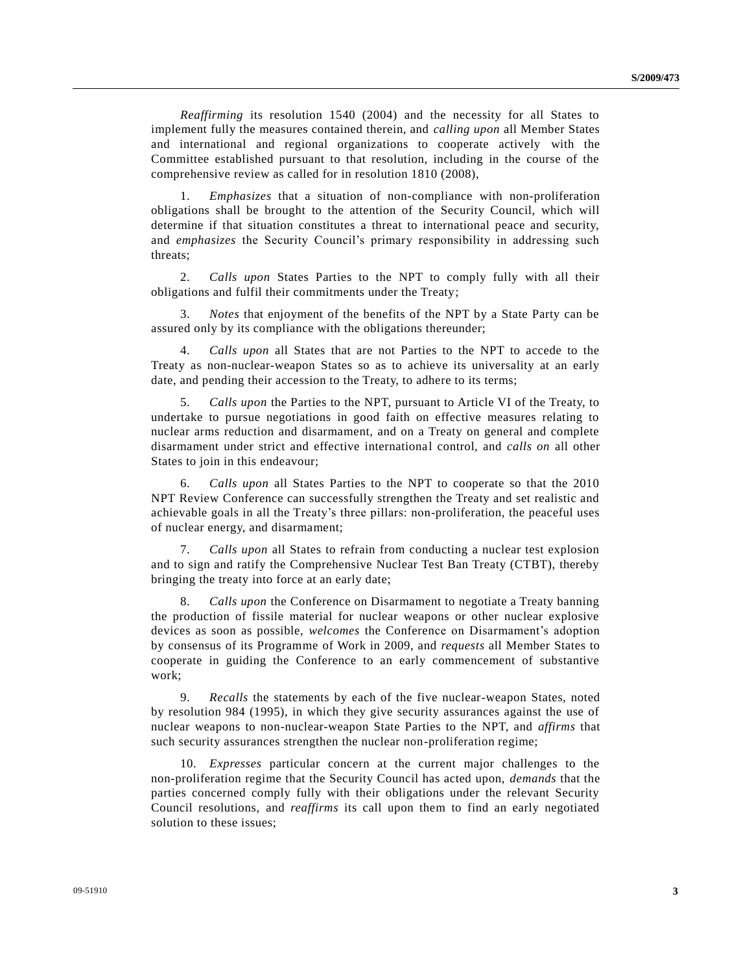*Reaffirming* its resolution 1540 (2004) and the necessity for all States to implement fully the measures contained therein, and *calling upon* all Member States and international and regional organizations to cooperate actively with the Committee established pursuant to that resolution, including in the course of the comprehensive review as called for in resolution 1810 (2008),

1. *Emphasizes* that a situation of non-compliance with non-proliferation obligations shall be brought to the attention of the Security Council, which will determine if that situation constitutes a threat to international peace and security, and *emphasizes* the Security Council's primary responsibility in addressing such threats;

2. *Calls upon* States Parties to the NPT to comply fully with all their obligations and fulfil their commitments under the Treaty;

3. *Notes* that enjoyment of the benefits of the NPT by a State Party can be assured only by its compliance with the obligations thereunder;

4. *Calls upon* all States that are not Parties to the NPT to accede to the Treaty as non-nuclear-weapon States so as to achieve its universality at an early date, and pending their accession to the Treaty, to adhere to its terms;

5. *Calls upon* the Parties to the NPT, pursuant to Article VI of the Treaty, to undertake to pursue negotiations in good faith on effective measures relating to nuclear arms reduction and disarmament, and on a Treaty on general and complete disarmament under strict and effective international control, and *calls on* all other States to join in this endeavour;

6. *Calls upon* all States Parties to the NPT to cooperate so that the 2010 NPT Review Conference can successfully strengthen the Treaty and set realistic and achievable goals in all the Treaty's three pillars: non-proliferation, the peaceful uses of nuclear energy, and disarmament;

7. *Calls upon* all States to refrain from conducting a nuclear test explosion and to sign and ratify the Comprehensive Nuclear Test Ban Treaty (CTBT), thereby bringing the treaty into force at an early date;

8. *Calls upon* the Conference on Disarmament to negotiate a Treaty banning the production of fissile material for nuclear weapons or other nuclear explosive devices as soon as possible, *welcomes* the Conference on Disarmament's adoption by consensus of its Programme of Work in 2009, and *requests* all Member States to cooperate in guiding the Conference to an early commencement of substantive work;

9. *Recalls* the statements by each of the five nuclear-weapon States, noted by resolution 984 (1995), in which they give security assurances against the use of nuclear weapons to non-nuclear-weapon State Parties to the NPT, and *affirms* that such security assurances strengthen the nuclear non-proliferation regime;

10. *Expresses* particular concern at the current major challenges to the non-proliferation regime that the Security Council has acted upon, *demands* that the parties concerned comply fully with their obligations under the relevant Security Council resolutions, and *reaffirms* its call upon them to find an early negotiated solution to these issues;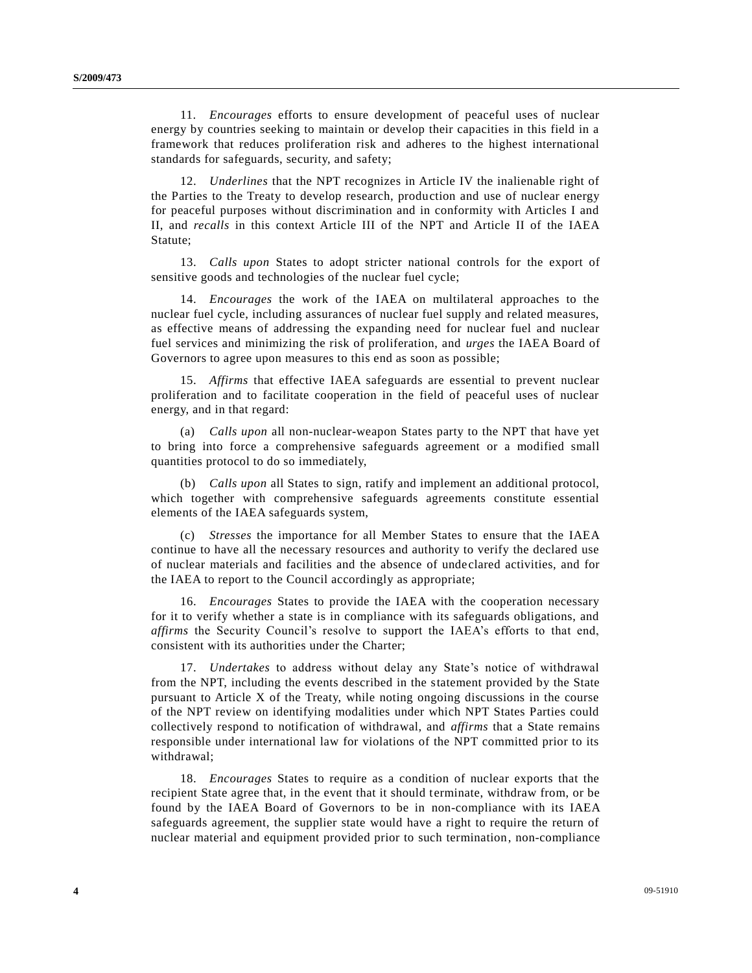11. *Encourages* efforts to ensure development of peaceful uses of nuclear energy by countries seeking to maintain or develop their capacities in this field in a framework that reduces proliferation risk and adheres to the highest international standards for safeguards, security, and safety;

12. *Underlines* that the NPT recognizes in Article IV the inalienable right of the Parties to the Treaty to develop research, production and use of nuclear energy for peaceful purposes without discrimination and in conformity with Articles I and II, and *recalls* in this context Article III of the NPT and Article II of the IAEA Statute;

13. *Calls upon* States to adopt stricter national controls for the export of sensitive goods and technologies of the nuclear fuel cycle;

14. *Encourages* the work of the IAEA on multilateral approaches to the nuclear fuel cycle, including assurances of nuclear fuel supply and related measures, as effective means of addressing the expanding need for nuclear fuel and nuclear fuel services and minimizing the risk of proliferation, and *urges* the IAEA Board of Governors to agree upon measures to this end as soon as possible;

15. *Affirms* that effective IAEA safeguards are essential to prevent nuclear proliferation and to facilitate cooperation in the field of peaceful uses of nuclear energy, and in that regard:

(a) *Calls upon* all non-nuclear-weapon States party to the NPT that have yet to bring into force a comprehensive safeguards agreement or a modified small quantities protocol to do so immediately,

(b) *Calls upon* all States to sign, ratify and implement an additional protocol, which together with comprehensive safeguards agreements constitute essential elements of the IAEA safeguards system,

(c) *Stresses* the importance for all Member States to ensure that the IAEA continue to have all the necessary resources and authority to verify the declared use of nuclear materials and facilities and the absence of undeclared activities, and for the IAEA to report to the Council accordingly as appropriate;

16. *Encourages* States to provide the IAEA with the cooperation necessary for it to verify whether a state is in compliance with its safeguards obligations, and *affirms* the Security Council's resolve to support the IAEA's efforts to that end, consistent with its authorities under the Charter;

17. *Undertakes* to address without delay any State's notice of withdrawal from the NPT, including the events described in the statement provided by the State pursuant to Article X of the Treaty, while noting ongoing discussions in the course of the NPT review on identifying modalities under which NPT States Parties could collectively respond to notification of withdrawal, and *affirms* that a State remains responsible under international law for violations of the NPT committed prior to its withdrawal;

18. *Encourages* States to require as a condition of nuclear exports that the recipient State agree that, in the event that it should terminate, withdraw from, or be found by the IAEA Board of Governors to be in non-compliance with its IAEA safeguards agreement, the supplier state would have a right to require the return of nuclear material and equipment provided prior to such termination, non-compliance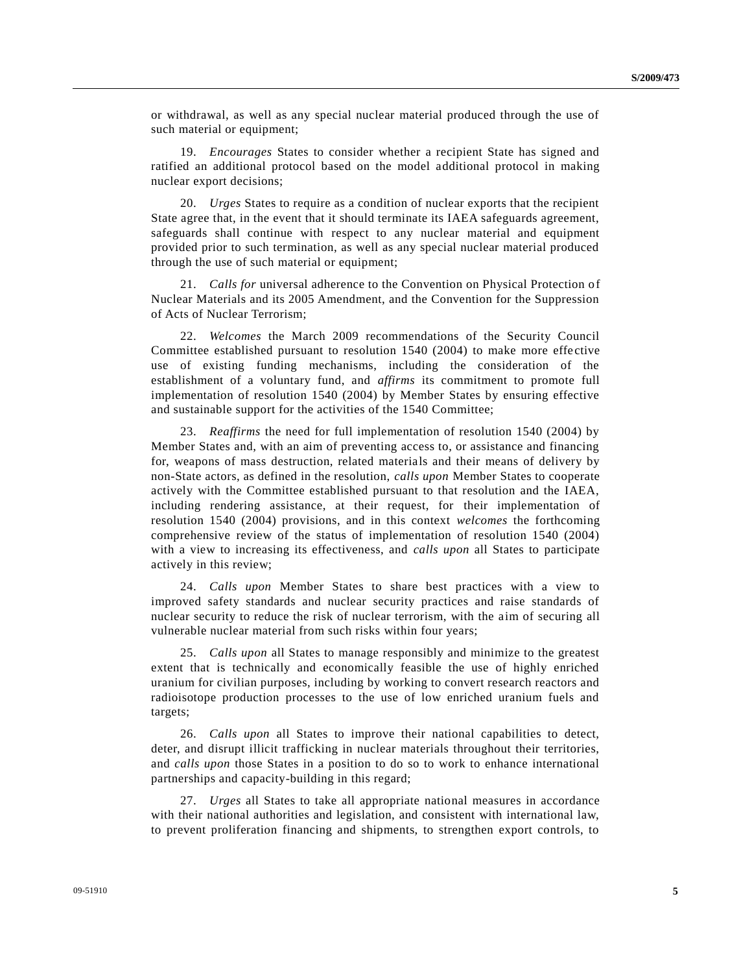or withdrawal, as well as any special nuclear material produced through the use of such material or equipment;

19. *Encourages* States to consider whether a recipient State has signed and ratified an additional protocol based on the model additional protocol in making nuclear export decisions;

20. *Urges* States to require as a condition of nuclear exports that the recipient State agree that, in the event that it should terminate its IAEA safeguards agreement, safeguards shall continue with respect to any nuclear material and equipment provided prior to such termination, as well as any special nuclear material produced through the use of such material or equipment;

21. *Calls for* universal adherence to the Convention on Physical Protection of Nuclear Materials and its 2005 Amendment, and the Convention for the Suppression of Acts of Nuclear Terrorism;

22. *Welcomes* the March 2009 recommendations of the Security Council Committee established pursuant to resolution 1540 (2004) to make more effective use of existing funding mechanisms, including the consideration of the establishment of a voluntary fund, and *affirms* its commitment to promote full implementation of resolution 1540 (2004) by Member States by ensuring effective and sustainable support for the activities of the 1540 Committee;

23. *Reaffirms* the need for full implementation of resolution 1540 (2004) by Member States and, with an aim of preventing access to, or assistance and financing for, weapons of mass destruction, related materials and their means of delivery by non-State actors, as defined in the resolution, *calls upon* Member States to cooperate actively with the Committee established pursuant to that resolution and the IAEA, including rendering assistance, at their request, for their implementation of resolution 1540 (2004) provisions, and in this context *welcomes* the forthcoming comprehensive review of the status of implementation of resolution 1540 (2004) with a view to increasing its effectiveness, and *calls upon* all States to participate actively in this review;

24. *Calls upon* Member States to share best practices with a view to improved safety standards and nuclear security practices and raise standards of nuclear security to reduce the risk of nuclear terrorism, with the aim of securing all vulnerable nuclear material from such risks within four years;

25. *Calls upon* all States to manage responsibly and minimize to the greatest extent that is technically and economically feasible the use of highly enriched uranium for civilian purposes, including by working to convert research reactors and radioisotope production processes to the use of low enriched uranium fuels and targets;

26. *Calls upon* all States to improve their national capabilities to detect, deter, and disrupt illicit trafficking in nuclear materials throughout their territories, and *calls upon* those States in a position to do so to work to enhance international partnerships and capacity-building in this regard;

27. *Urges* all States to take all appropriate national measures in accordance with their national authorities and legislation, and consistent with international law, to prevent proliferation financing and shipments, to strengthen export controls, to